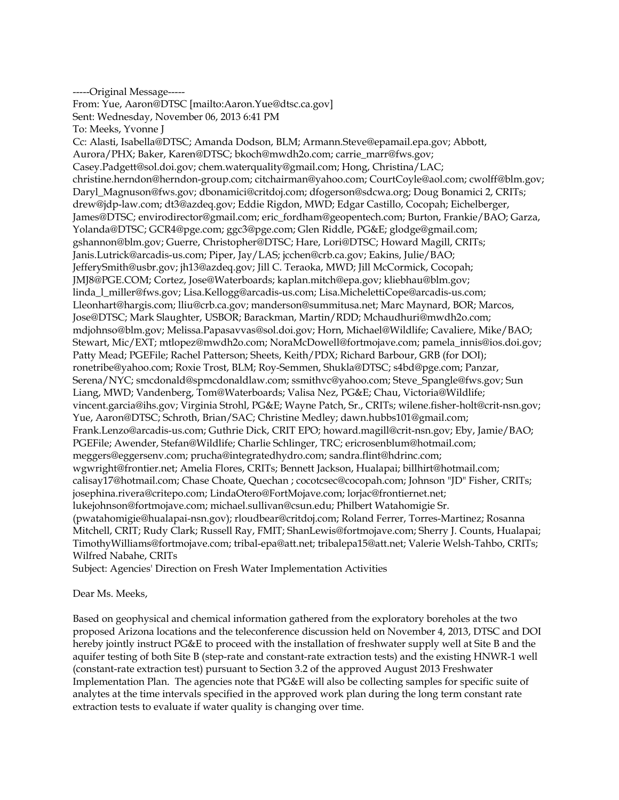-----Original Message----- From: Yue, Aaron@DTSC [mailto:Aaron.Yue@dtsc.ca.gov] Sent: Wednesday, November 06, 2013 6:41 PM To: Meeks, Yvonne J Cc: Alasti, Isabella@DTSC; Amanda Dodson, BLM; Armann.Steve@epamail.epa.gov; Abbott, Aurora/PHX; Baker, Karen@DTSC; bkoch@mwdh2o.com; carrie\_marr@fws.gov; Casey.Padgett@sol.doi.gov; chem.waterquality@gmail.com; Hong, Christina/LAC; christine.herndon@herndon-group.com; citchairman@yahoo.com; CourtCoyle@aol.com; cwolff@blm.gov; Daryl\_Magnuson@fws.gov; dbonamici@critdoj.com; dfogerson@sdcwa.org; Doug Bonamici 2, CRITs; drew@jdp-law.com; dt3@azdeq.gov; Eddie Rigdon, MWD; Edgar Castillo, Cocopah; Eichelberger, James@DTSC; envirodirector@gmail.com; eric\_fordham@geopentech.com; Burton, Frankie/BAO; Garza, Yolanda@DTSC; GCR4@pge.com; ggc3@pge.com; Glen Riddle, PG&E; glodge@gmail.com; gshannon@blm.gov; Guerre, Christopher@DTSC; Hare, Lori@DTSC; Howard Magill, CRITs; Janis.Lutrick@arcadis-us.com; Piper, Jay/LAS; jcchen@crb.ca.gov; Eakins, Julie/BAO; JefferySmith@usbr.gov; jh13@azdeq.gov; Jill C. Teraoka, MWD; Jill McCormick, Cocopah; JMJ8@PGE.COM; Cortez, Jose@Waterboards; kaplan.mitch@epa.gov; kliebhau@blm.gov; linda\_l\_miller@fws.gov; Lisa.Kellogg@arcadis-us.com; Lisa.MichelettiCope@arcadis-us.com; Lleonhart@hargis.com; lliu@crb.ca.gov; manderson@summitusa.net; Marc Maynard, BOR; Marcos, Jose@DTSC; Mark Slaughter, USBOR; Barackman, Martin/RDD; Mchaudhuri@mwdh2o.com; mdjohnso@blm.gov; Melissa.Papasavvas@sol.doi.gov; Horn, Michael@Wildlife; Cavaliere, Mike/BAO; Stewart, Mic/EXT; mtlopez@mwdh2o.com; NoraMcDowell@fortmojave.com; pamela\_innis@ios.doi.gov; Patty Mead; PGEFile; Rachel Patterson; Sheets, Keith/PDX; Richard Barbour, GRB (for DOI); ronetribe@yahoo.com; Roxie Trost, BLM; Roy-Semmen, Shukla@DTSC; s4bd@pge.com; Panzar, Serena/NYC; smcdonald@spmcdonaldlaw.com; ssmithvc@yahoo.com; Steve\_Spangle@fws.gov; Sun Liang, MWD; Vandenberg, Tom@Waterboards; Valisa Nez, PG&E; Chau, Victoria@Wildlife; vincent.garcia@ihs.gov; Virginia Strohl, PG&E; Wayne Patch, Sr., CRITs; wilene.fisher-holt@crit-nsn.gov; Yue, Aaron@DTSC; Schroth, Brian/SAC; Christine Medley; dawn.hubbs101@gmail.com; Frank.Lenzo@arcadis-us.com; Guthrie Dick, CRIT EPO; howard.magill@crit-nsn.gov; Eby, Jamie/BAO; PGEFile; Awender, Stefan@Wildlife; Charlie Schlinger, TRC; ericrosenblum@hotmail.com; meggers@eggersenv.com; prucha@integratedhydro.com; sandra.flint@hdrinc.com; wgwright@frontier.net; Amelia Flores, CRITs; Bennett Jackson, Hualapai; billhirt@hotmail.com; calisay17@hotmail.com; Chase Choate, Quechan ; cocotcsec@cocopah.com; Johnson "JD" Fisher, CRITs; josephina.rivera@critepo.com; LindaOtero@FortMojave.com; lorjac@frontiernet.net; lukejohnson@fortmojave.com; michael.sullivan@csun.edu; Philbert Watahomigie Sr. (pwatahomigie@hualapai-nsn.gov); rloudbear@critdoj.com; Roland Ferrer, Torres-Martinez; Rosanna Mitchell, CRIT; Rudy Clark; Russell Ray, FMIT; ShanLewis@fortmojave.com; Sherry J. Counts, Hualapai; TimothyWilliams@fortmojave.com; tribal-epa@att.net; tribalepa15@att.net; Valerie Welsh-Tahbo, CRITs; Wilfred Nabahe, CRITs

Subject: Agencies' Direction on Fresh Water Implementation Activities

## Dear Ms. Meeks,

Based on geophysical and chemical information gathered from the exploratory boreholes at the two proposed Arizona locations and the teleconference discussion held on November 4, 2013, DTSC and DOI hereby jointly instruct PG&E to proceed with the installation of freshwater supply well at Site B and the aquifer testing of both Site B (step-rate and constant-rate extraction tests) and the existing HNWR-1 well (constant-rate extraction test) pursuant to Section 3.2 of the approved August 2013 Freshwater Implementation Plan. The agencies note that PG&E will also be collecting samples for specific suite of analytes at the time intervals specified in the approved work plan during the long term constant rate extraction tests to evaluate if water quality is changing over time.